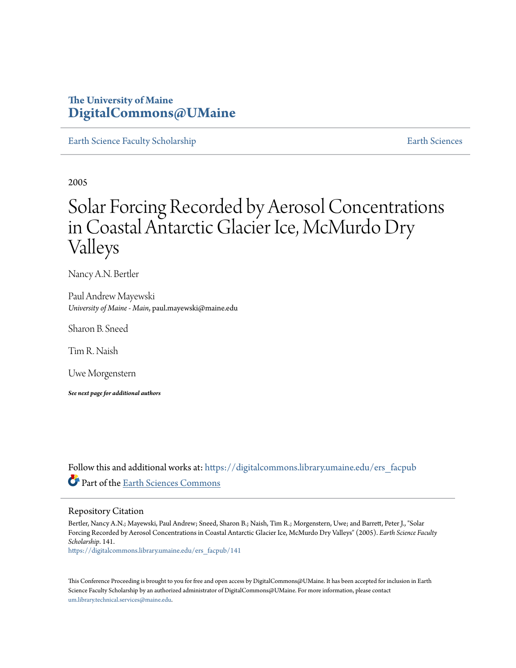### **The University of Maine [DigitalCommons@UMaine](https://digitalcommons.library.umaine.edu?utm_source=digitalcommons.library.umaine.edu%2Fers_facpub%2F141&utm_medium=PDF&utm_campaign=PDFCoverPages)**

[Earth Science Faculty Scholarship](https://digitalcommons.library.umaine.edu/ers_facpub?utm_source=digitalcommons.library.umaine.edu%2Fers_facpub%2F141&utm_medium=PDF&utm_campaign=PDFCoverPages) **[Earth Sciences](https://digitalcommons.library.umaine.edu/ers?utm_source=digitalcommons.library.umaine.edu%2Fers_facpub%2F141&utm_medium=PDF&utm_campaign=PDFCoverPages)** 

2005

# Solar Forcing Recorded by Aerosol Concentrations in Coastal Antarctic Glacier Ice, McMurdo Dry Valleys

Nancy A.N. Bertler

Paul Andrew Mayewski *University of Maine - Main*, paul.mayewski@maine.edu

Sharon B. Sneed

Tim R. Naish

Uwe Morgenstern

*See next page for additional authors*

Follow this and additional works at: [https://digitalcommons.library.umaine.edu/ers\\_facpub](https://digitalcommons.library.umaine.edu/ers_facpub?utm_source=digitalcommons.library.umaine.edu%2Fers_facpub%2F141&utm_medium=PDF&utm_campaign=PDFCoverPages) Part of the [Earth Sciences Commons](http://network.bepress.com/hgg/discipline/153?utm_source=digitalcommons.library.umaine.edu%2Fers_facpub%2F141&utm_medium=PDF&utm_campaign=PDFCoverPages)

#### Repository Citation

Bertler, Nancy A.N.; Mayewski, Paul Andrew; Sneed, Sharon B.; Naish, Tim R.; Morgenstern, Uwe; and Barrett, Peter J., "Solar Forcing Recorded by Aerosol Concentrations in Coastal Antarctic Glacier Ice, McMurdo Dry Valleys" (2005). *Earth Science Faculty Scholarship*. 141.

[https://digitalcommons.library.umaine.edu/ers\\_facpub/141](https://digitalcommons.library.umaine.edu/ers_facpub/141?utm_source=digitalcommons.library.umaine.edu%2Fers_facpub%2F141&utm_medium=PDF&utm_campaign=PDFCoverPages)

This Conference Proceeding is brought to you for free and open access by DigitalCommons@UMaine. It has been accepted for inclusion in Earth Science Faculty Scholarship by an authorized administrator of DigitalCommons@UMaine. For more information, please contact [um.library.technical.services@maine.edu](mailto:um.library.technical.services@maine.edu).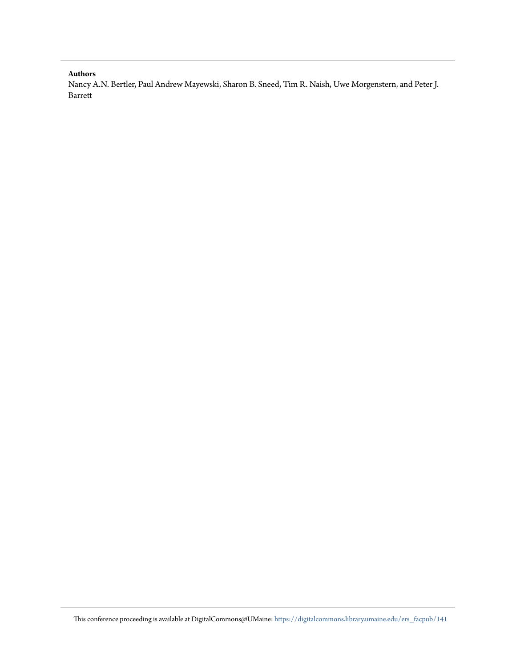#### **Authors**

Nancy A.N. Bertler, Paul Andrew Mayewski, Sharon B. Sneed, Tim R. Naish, Uwe Morgenstern, and Peter J. Barrett

This conference proceeding is available at DigitalCommons@UMaine: [https://digitalcommons.library.umaine.edu/ers\\_facpub/141](https://digitalcommons.library.umaine.edu/ers_facpub/141?utm_source=digitalcommons.library.umaine.edu%2Fers_facpub%2F141&utm_medium=PDF&utm_campaign=PDFCoverPages)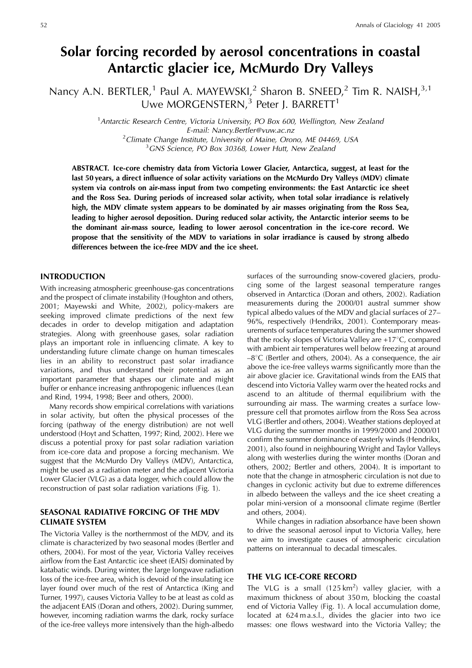## Solar forcing recorded by aerosol concentrations in coastal Antarctic glacier ice, McMurdo Dry Valleys

Nancy A.N. BERTLER,<sup>1</sup> Paul A. MAYEWSKI,<sup>2</sup> Sharon B. SNEED,<sup>2</sup> Tim R. NAISH,<sup>3,1</sup><br>Uwe MORGENSTERN,<sup>3</sup> Peter J. BARRETT<sup>1</sup>

<sup>1</sup> Antarctic Research Centre, Victoria University, PO Box 600, Wellington, New Zealand E-mail: Nancy.Bertler@vuw.ac.nz <sup>2</sup> Climate Change Institute, University of Maine, Orono, ME 04469, USA <sup>3</sup>GNS Science, PO Box 30368, Lower Hutt, New Zealand

ABSTRACT. Ice-core chemistry data from Victoria Lower Glacier, Antarctica, suggest, at least for the last 50 years, a direct influence of solar activity variations on the McMurdo Dry Valleys (MDV) climate system via controls on air-mass input from two competing environments: the East Antarctic ice sheet and the Ross Sea. During periods of increased solar activity, when total solar irradiance is relatively high, the MDV climate system appears to be dominated by air masses originating from the Ross Sea, leading to higher aerosol deposition. During reduced solar activity, the Antarctic interior seems to be the dominant air-mass source, leading to lower aerosol concentration in the ice-core record. We propose that the sensitivity of the MDV to variations in solar irradiance is caused by strong albedo differences between the ice-free MDV and the ice sheet.

#### **INTRODUCTION**

With increasing atmospheric greenhouse-gas concentrations and the prospect of climate instability (Houghton and others, 2001; Mayewski and White, 2002), policy-makers are seeking improved climate predictions of the next few decades in order to develop mitigation and adaptation strategies. Along with greenhouse gases, solar radiation plays an important role in influencing climate. A key to understanding future climate change on human timescales lies in an ability to reconstruct past solar irradiance variations, and thus understand their potential as an important parameter that shapes our climate and might buffer or enhance increasing anthropogenic influences (Lean and Rind, 1994, 1998; Beer and others, 2000).

Many records show empirical correlations with variations in solar activity, but often the physical processes of the forcing (pathway of the energy distribution) are not well understood (Hoyt and Schatten, 1997; Rind, 2002). Here we discuss a potential proxy for past solar radiation variation from ice-core data and propose a forcing mechanism. We suggest that the McMurdo Dry Valleys (MDV), Antarctica, might be used as a radiation meter and the adjacent Victoria Lower Glacier (VLG) as a data logger, which could allow the reconstruction of past solar radiation variations (Fig. 1).

#### SEASONAL RADIATIVE FORCING OF THE MDV **CLIMATE SYSTEM**

The Victoria Valley is the northernmost of the MDV, and its climate is characterized by two seasonal modes (Bertler and others, 2004). For most of the year, Victoria Valley receives airflow from the East Antarctic ice sheet (EAIS) dominated by katabatic winds. During winter, the large longwave radiation loss of the ice-free area, which is devoid of the insulating ice layer found over much of the rest of Antarctica (King and Turner, 1997), causes Victoria Valley to be at least as cold as the adjacent EAIS (Doran and others, 2002). During summer, however, incoming radiation warms the dark, rocky surface of the ice-free valleys more intensively than the high-albedo

surfaces of the surrounding snow-covered glaciers, producing some of the largest seasonal temperature ranges observed in Antarctica (Doran and others, 2002). Radiation measurements during the 2000/01 austral summer show typical albedo values of the MDV and glacial surfaces of 27– 96%, respectively (Hendrikx, 2001). Contemporary measurements of surface temperatures during the summer showed that the rocky slopes of Victoria Valley are +17°C, compared with ambient air temperatures well below freezing at around  $-8^{\circ}$ C (Bertler and others, 2004). As a consequence, the air above the ice-free valleys warms significantly more than the air above glacier ice. Gravitational winds from the EAIS that descend into Victoria Valley warm over the heated rocks and ascend to an altitude of thermal equilibrium with the surrounding air mass. The warming creates a surface lowpressure cell that promotes airflow from the Ross Sea across VLG (Bertler and others, 2004). Weather stations deployed at VLG during the summer months in 1999/2000 and 2000/01 confirm the summer dominance of easterly winds (Hendrikx, 2001), also found in neighbouring Wright and Taylor Valleys along with westerlies during the winter months (Doran and others, 2002; Bertler and others, 2004). It is important to note that the change in atmospheric circulation is not due to changes in cyclonic activity but due to extreme differences in albedo between the valleys and the ice sheet creating a polar mini-version of a monsoonal climate regime (Bertler and others, 2004).

While changes in radiation absorbance have been shown to drive the seasonal aerosol input to Victoria Valley, here we aim to investigate causes of atmospheric circulation patterns on interannual to decadal timescales.

#### THE VLG ICE-CORE RECORD

The VLG is a small  $(125 \text{ km}^2)$  valley glacier, with a maximum thickness of about 350m, blocking the coastal end of Victoria Valley (Fig. 1). A local accumulation dome, located at 624 m a.s.l., divides the glacier into two ice masses: one flows westward into the Victoria Valley; the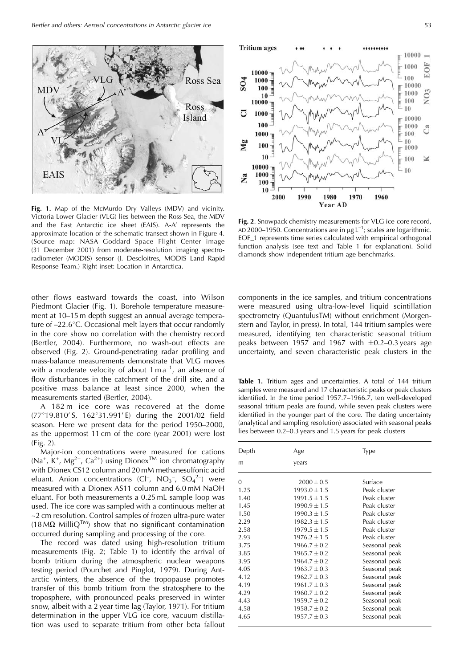

Fig. 1. Map of the McMurdo Dry Valleys (MDV) and vicinity. Victoria Lower Glacier (VLG) lies between the Ross Sea, the MDV and the East Antarctic ice sheet (EAIS). A-A' represents the approximate location of the schematic transect shown in Figure 4. (Source map: NASA Goddard Space Flight Center image) (31 December 2001) from moderate-resolution imaging spectroradiometer (MODIS) sensor (J. Descloitres, MODIS Land Rapid Response Team.) Right inset: Location in Antarctica.

other flows eastward towards the coast, into Wilson Piedmont Glacier (Fig. 1). Borehole temperature measurement at 10-15 m depth suggest an annual average temperature of -22.6°C. Occasional melt layers that occur randomly in the core show no correlation with the chemistry record (Bertler, 2004). Furthermore, no wash-out effects are observed (Fig. 2). Ground-penetrating radar profiling and mass-balance measurements demonstrate that VLG moves with a moderate velocity of about  $1 \text{ m a}^{-1}$ , an absence of flow disturbances in the catchment of the drill site, and a positive mass balance at least since 2000, when the measurements started (Bertler, 2004).

A 182 m ice core was recovered at the dome (77°19.810'S, 162°31.991'E) during the 2001/02 field season. Here we present data for the period 1950-2000, as the uppermost 11 cm of the core (year 2001) were lost  $(Fig. 2)$ .

Major-ion concentrations were measured for cations  $(Na^+, K^+, Mg^{2+}, Ca^{2+})$  using Dionex<sup>TM</sup> ion chromatography with Dionex CS12 column and 20 mM methanesulfonic acid eluant. Anion concentrations (Cl<sup>-</sup>, NO<sub>3</sub><sup>-</sup>, SO<sub>4</sub><sup>2-</sup>) were measured with a Dionex AS11 column and 6.0 mM NaOH eluant. For both measurements a 0.25 mL sample loop was used. The ice core was sampled with a continuous melter at ~2 cm resolution. Control samples of frozen ultra-pure water  $(18 \text{ M}\Omega \text{ MilliQ}^{TM})$  show that no significant contamination occurred during sampling and processing of the core.

The record was dated using high-resolution tritium measurements (Fig. 2; Table 1) to identify the arrival of bomb tritium during the atmospheric nuclear weapons testing period (Pourchet and Pinglot, 1979). During Antarctic winters, the absence of the tropopause promotes transfer of this bomb tritium from the stratosphere to the troposphere, with pronounced peaks preserved in winter snow, albeit with a 2 year time lag (Taylor, 1971). For tritium determination in the upper VLG ice core, vacuum distillation was used to separate tritium from other beta fallout



Fig. 2. Snowpack chemistry measurements for VLG ice-core record, AD 2000-1950. Concentrations are in  $\mu$ g L<sup>-1</sup>; scales are logarithmic. EOF\_1 represents time series calculated with empirical orthogonal function analysis (see text and Table 1 for explanation). Solid diamonds show independent tritium age benchmarks.

components in the ice samples, and tritium concentrations were measured using ultra-low-level liquid scintillation spectrometry (QuantulusTM) without enrichment (Morgenstern and Taylor, in press). In total, 144 tritium samples were measured, identifying ten characteristic seasonal tritium peaks between 1957 and 1967 with  $\pm 0.2 - 0.3$  years age uncertainty, and seven characteristic peak clusters in the

Table 1. Tritium ages and uncertainties. A total of 144 tritium samples were measured and 17 characteristic peaks or peak clusters identified. In the time period 1957.7-1966.7, ten well-developed seasonal tritium peaks are found, while seven peak clusters were identified in the younger part of the core. The dating uncertainty (analytical and sampling resolution) associated with seasonal peaks lies between 0.2-0.3 years and 1.5 years for peak clusters

| Depth<br>Age |                  | Type          |  |  |
|--------------|------------------|---------------|--|--|
| m            | years            |               |  |  |
| $\Omega$     | $2000 \pm 0.5$   | Surface       |  |  |
| 1.25         | $1993.0 \pm 1.5$ | Peak cluster  |  |  |
| 1.40         | $1991.5 \pm 1.5$ | Peak cluster  |  |  |
| 1.45         | $1990.9 \pm 1.5$ | Peak cluster  |  |  |
| 1.50         | $1990.3 \pm 1.5$ | Peak cluster  |  |  |
| 2.29         | $1982.3 \pm 1.5$ | Peak cluster  |  |  |
| 2.58         | $1979.5 \pm 1.5$ | Peak cluster  |  |  |
| 2.93         | $1976.2 \pm 1.5$ | Peak cluster  |  |  |
| 3.75         | $1966.7 \pm 0.2$ | Seasonal peak |  |  |
| 3.85         | $1965.7 \pm 0.2$ | Seasonal peak |  |  |
| 3.95         | $1964.7 \pm 0.2$ | Seasonal peak |  |  |
| 4.05         | $1963.7 \pm 0.3$ | Seasonal peak |  |  |
| 4.12         | $1962.7 \pm 0.3$ | Seasonal peak |  |  |
| 4.19         | $1961.7 \pm 0.3$ | Seasonal peak |  |  |
| 4.29         | $1960.7 \pm 0.2$ | Seasonal peak |  |  |
| 4.43         | $1959.7 \pm 0.2$ | Seasonal peak |  |  |
| 4.58         | $1958.7 \pm 0.2$ | Seasonal peak |  |  |
| 4.65         | $1957.7 \pm 0.3$ | Seasonal peak |  |  |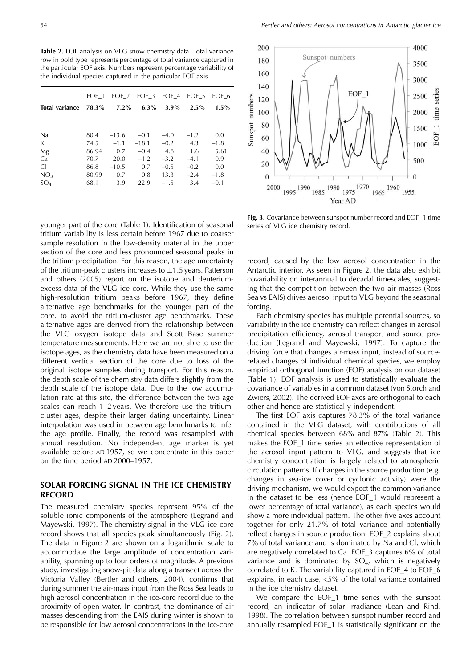Table 2. EOF analysis on VLG snow chemistry data. Total variance row in bold type represents percentage of total variance captured in the particular EOF axis. Numbers represent percentage variability of the individual species captured in the particular EOF axis

|                                 | EOF 1 | EOF 2   | EOF 3 EOF 4 |         | EOF 5   | EOF 6   |
|---------------------------------|-------|---------|-------------|---------|---------|---------|
| Total variance $78.3\%$ $7.2\%$ |       |         | $6.3\%$     | $3.9\%$ | $2.5\%$ | $1.5\%$ |
|                                 |       |         |             |         |         |         |
| Na                              | 80.4  | $-13.6$ | $-0.1$      | $-4.0$  | $-1.2$  | 0.0     |
| K                               | 74.5  | $-1.1$  | $-18.1$     | $-0.2$  | 4.3     | $-1.8$  |
| Mg                              | 86.94 | 0.7     | $-0.4$      | -4.8    | 1.6     | 5.61    |
| Ca                              | 70.7  | 20.0    | $-1.2$      | $-3.2$  | $-4.1$  | 0.9     |
| <sup>C</sup>                    | 86.8  | $-10.5$ | 0.7         | $-0.5$  | $-0.2$  | 0.0     |
| NO <sub>3</sub>                 | 80.99 | 0.7     | 0.8         | 13.3    | $-2.4$  | $-1.8$  |
| SO <sub>4</sub>                 | 68.1  | 3.9     | 22.9        | $-1.5$  | 3.4     | $-0.1$  |

younger part of the core (Table 1). Identification of seasonal tritium variability is less certain before 1967 due to coarser sample resolution in the low-density material in the upper section of the core and less pronounced seasonal peaks in the tritium precipitation. For this reason, the age uncertainty of the tritium-peak clusters increases to  $\pm$ 1.5 years. Patterson and others (2005) report on the isotope and deuteriumexcess data of the VLG ice core. While they use the same high-resolution tritium peaks before 1967, they define alternative age benchmarks for the younger part of the core, to avoid the tritium-cluster age benchmarks. These alternative ages are derived from the relationship between the VLG oxygen isotope data and Scott Base summer temperature measurements. Here we are not able to use the isotope ages, as the chemistry data have been measured on a different vertical section of the core due to loss of the original isotope samples during transport. For this reason, the depth scale of the chemistry data differs slightly from the depth scale of the isotope data. Due to the low accumulation rate at this site, the difference between the two age scales can reach 1-2 years. We therefore use the tritiumcluster ages, despite their larger dating uncertainty. Linear interpolation was used in between age benchmarks to infer the age profile. Finally, the record was resampled with annual resolution. No independent age marker is yet available before AD 1957, so we concentrate in this paper on the time period AD 2000-1957.

#### SOLAR FORCING SIGNAL IN THE ICE CHEMISTRY **RECORD**

The measured chemistry species represent 95% of the soluble ionic components of the atmosphere (Legrand and Mayewski, 1997). The chemistry signal in the VLG ice-core record shows that all species peak simultaneously (Fig. 2). The data in Figure 2 are shown on a logarithmic scale to accommodate the large amplitude of concentration variability, spanning up to four orders of magnitude. A previous study, investigating snow-pit data along a transect across the Victoria Valley (Bertler and others, 2004), confirms that during summer the air-mass input from the Ross Sea leads to high aerosol concentration in the ice-core record due to the proximity of open water. In contrast, the dominance of air masses descending from the EAIS during winter is shown to be responsible for low aerosol concentrations in the ice-core



Fig. 3. Covariance between sunspot number record and EOF\_1 time series of VLG ice chemistry record.

record, caused by the low aerosol concentration in the Antarctic interior. As seen in Figure 2, the data also exhibit covariability on interannual to decadal timescales, suggesting that the competition between the two air masses (Ross Sea vs EAIS) drives aerosol input to VLG beyond the seasonal forcing.

Each chemistry species has multiple potential sources, so variability in the ice chemistry can reflect changes in aerosol precipitation efficiency, aerosol transport and source production (Legrand and Mayewski, 1997). To capture the driving force that changes air-mass input, instead of sourcerelated changes of individual chemical species, we employ empirical orthogonal function (EOF) analysis on our dataset (Table 1). EOF analysis is used to statistically evaluate the covariance of variables in a common dataset (von Storch and Zwiers, 2002). The derived EOF axes are orthogonal to each other and hence are statistically independent.

The first EOF axis captures 78.3% of the total variance contained in the VLG dataset, with contributions of all chemical species between 68% and 87% (Table 2). This makes the EOF\_1 time series an effective representation of the aerosol input pattern to VLG, and suggests that ice chemistry concentration is largely related to atmospheric circulation patterns. If changes in the source production (e.g. changes in sea-ice cover or cyclonic activity) were the driving mechanism, we would expect the common variance in the dataset to be less (hence EOF\_1 would represent a lower percentage of total variance), as each species would show a more individual pattern. The other five axes account together for only 21.7% of total variance and potentially reflect changes in source production. EOF\_2 explains about 7% of total variance and is dominated by Na and Cl, which are negatively correlated to Ca. EOF\_3 captures 6% of total variance and is dominated by  $SO_4$ , which is negatively correlated to K. The variability captured in EOF\_4 to EOF\_6 explains, in each case, <5% of the total variance contained in the ice chemistry dataset.

We compare the EOF\_1 time series with the sunspot record, an indicator of solar irradiance (Lean and Rind, 1998). The correlation between sunspot number record and annually resampled EOF\_1 is statistically significant on the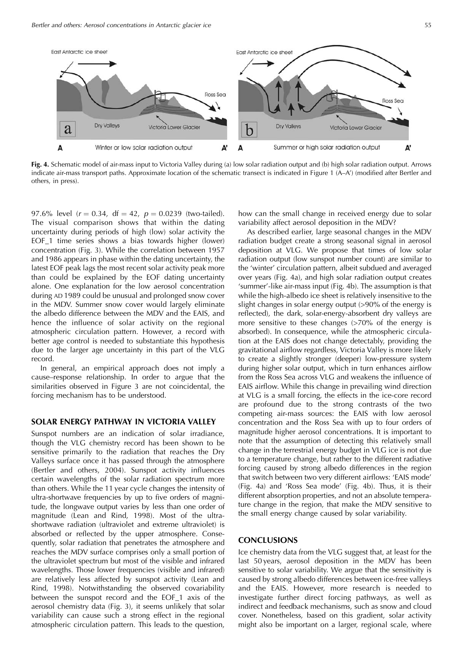

Fig. 4. Schematic model of air-mass input to Victoria Valley during (a) low solar radiation output and (b) high solar radiation output. Arrows indicate air-mass transport paths. Approximate location of the schematic transect is indicated in Figure 1 (A-A') (modified after Bertler and others, in press).

97.6% level  $(r = 0.34, df = 42, p = 0.0239$  (two-tailed). The visual comparison shows that within the dating uncertainty during periods of high (low) solar activity the EOF\_1 time series shows a bias towards higher (lower) concentration (Fig. 3). While the correlation between 1957 and 1986 appears in phase within the dating uncertainty, the latest EOF peak lags the most recent solar activity peak more than could be explained by the EOF dating uncertainty alone. One explanation for the low aerosol concentration during AD 1989 could be unusual and prolonged snow cover in the MDV. Summer snow cover would largely eliminate the albedo difference between the MDV and the EAIS, and hence the influence of solar activity on the regional atmospheric circulation pattern. However, a record with better age control is needed to substantiate this hypothesis due to the larger age uncertainty in this part of the VLG record

In general, an empirical approach does not imply a cause-response relationship. In order to argue that the similarities observed in Figure 3 are not coincidental, the forcing mechanism has to be understood.

#### SOLAR ENERGY PATHWAY IN VICTORIA VALLEY

Sunspot numbers are an indication of solar irradiance, though the VLG chemistry record has been shown to be sensitive primarily to the radiation that reaches the Dry Valleys surface once it has passed through the atmosphere (Bertler and others, 2004). Sunspot activity influences certain wavelengths of the solar radiation spectrum more than others. While the 11 year cycle changes the intensity of ultra-shortwave frequencies by up to five orders of magnitude, the longwave output varies by less than one order of magnitude (Lean and Rind, 1998). Most of the ultrashortwave radiation (ultraviolet and extreme ultraviolet) is absorbed or reflected by the upper atmosphere. Consequently, solar radiation that penetrates the atmosphere and reaches the MDV surface comprises only a small portion of the ultraviolet spectrum but most of the visible and infrared wavelengths. Those lower frequencies (visible and infrared) are relatively less affected by sunspot activity (Lean and Rind, 1998). Notwithstanding the observed covariability between the sunspot record and the EOF\_1 axis of the aerosol chemistry data (Fig. 3), it seems unlikely that solar variability can cause such a strong effect in the regional atmospheric circulation pattern. This leads to the question,

how can the small change in received energy due to solar variability affect aerosol deposition in the MDV?

As described earlier, large seasonal changes in the MDV radiation budget create a strong seasonal signal in aerosol deposition at VLG. We propose that times of low solar radiation output (low sunspot number count) are similar to the 'winter' circulation pattern, albeit subdued and averaged over years (Fig. 4a), and high solar radiation output creates 'summer'-like air-mass input (Fig. 4b). The assumption is that while the high-albedo ice sheet is relatively insensitive to the slight changes in solar energy output (>90% of the energy is reflected), the dark, solar-energy-absorbent dry valleys are more sensitive to these changes  $(>70\%$  of the energy is absorbed). In consequence, while the atmospheric circulation at the EAIS does not change detectably, providing the gravitational airflow regardless, Victoria Valley is more likely to create a slightly stronger (deeper) low-pressure system during higher solar output, which in turn enhances airflow from the Ross Sea across VLG and weakens the influence of EAIS airflow. While this change in prevailing wind direction at VLG is a small forcing, the effects in the ice-core record are profound due to the strong contrasts of the two competing air-mass sources: the EAIS with low aerosol concentration and the Ross Sea with up to four orders of magnitude higher aerosol concentrations. It is important to note that the assumption of detecting this relatively small change in the terrestrial energy budget in VLG ice is not due to a temperature change, but rather to the different radiative forcing caused by strong albedo differences in the region that switch between two very different airflows: 'EAIS mode' (Fig. 4a) and 'Ross Sea mode' (Fig. 4b). Thus, it is their different absorption properties, and not an absolute temperature change in the region, that make the MDV sensitive to the small energy change caused by solar variability.

#### **CONCLUSIONS**

Ice chemistry data from the VLG suggest that, at least for the last 50 years, aerosol deposition in the MDV has been sensitive to solar variability. We argue that the sensitivity is caused by strong albedo differences between ice-free valleys and the EAIS. However, more research is needed to investigate further direct forcing pathways, as well as indirect and feedback mechanisms, such as snow and cloud cover. Nonetheless, based on this gradient, solar activity might also be important on a larger, regional scale, where